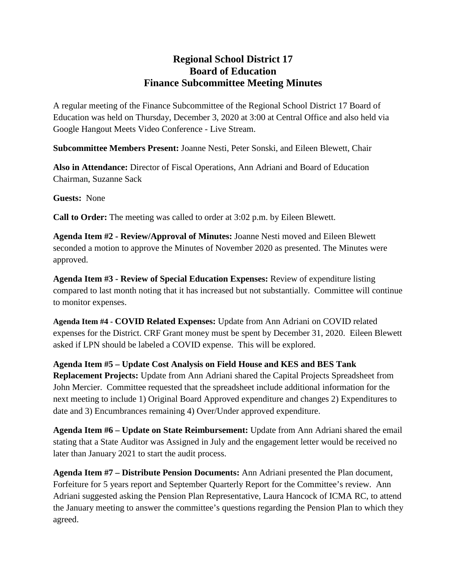## **Regional School District 17 Board of Education Finance Subcommittee Meeting Minutes**

A regular meeting of the Finance Subcommittee of the Regional School District 17 Board of Education was held on Thursday, December 3, 2020 at 3:00 at Central Office and also held via Google Hangout Meets Video Conference - Live Stream.

**Subcommittee Members Present:** Joanne Nesti, Peter Sonski, and Eileen Blewett, Chair

**Also in Attendance:** Director of Fiscal Operations, Ann Adriani and Board of Education Chairman, Suzanne Sack

**Guests:** None

**Call to Order:** The meeting was called to order at 3:02 p.m. by Eileen Blewett.

**Agenda Item #2 - Review/Approval of Minutes:** Joanne Nesti moved and Eileen Blewett seconded a motion to approve the Minutes of November 2020 as presented. The Minutes were approved.

**Agenda Item #3 - Review of Special Education Expenses:** Review of expenditure listing compared to last month noting that it has increased but not substantially. Committee will continue to monitor expenses.

**Agenda Item #4 - COVID Related Expenses:** Update from Ann Adriani on COVID related expenses for the District. CRF Grant money must be spent by December 31, 2020. Eileen Blewett asked if LPN should be labeled a COVID expense. This will be explored.

**Agenda Item #5 – Update Cost Analysis on Field House and KES and BES Tank Replacement Projects:** Update from Ann Adriani shared the Capital Projects Spreadsheet from John Mercier. Committee requested that the spreadsheet include additional information for the next meeting to include 1) Original Board Approved expenditure and changes 2) Expenditures to date and 3) Encumbrances remaining 4) Over/Under approved expenditure.

**Agenda Item #6 – Update on State Reimbursement:** Update from Ann Adriani shared the email stating that a State Auditor was Assigned in July and the engagement letter would be received no later than January 2021 to start the audit process.

**Agenda Item #7 – Distribute Pension Documents:** Ann Adriani presented the Plan document, Forfeiture for 5 years report and September Quarterly Report for the Committee's review. Ann Adriani suggested asking the Pension Plan Representative, Laura Hancock of ICMA RC, to attend the January meeting to answer the committee's questions regarding the Pension Plan to which they agreed.